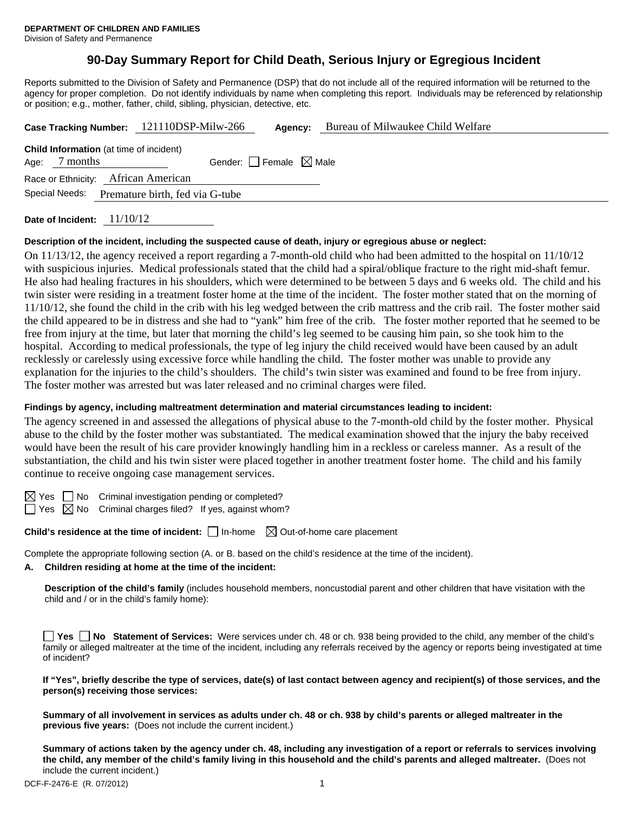# **90-Day Summary Report for Child Death, Serious Injury or Egregious Incident**

Reports submitted to the Division of Safety and Permanence (DSP) that do not include all of the required information will be returned to the agency for proper completion. Do not identify individuals by name when completing this report. Individuals may be referenced by relationship or position; e.g., mother, father, child, sibling, physician, detective, etc.

|                                                   | Case Tracking Number: 121110DSP-Milw-266       | Agency:                         | Bureau of Milwaukee Child Welfare |  |  |
|---------------------------------------------------|------------------------------------------------|---------------------------------|-----------------------------------|--|--|
| Age: $7$ months                                   | <b>Child Information</b> (at time of incident) | Gender: Female $\boxtimes$ Male |                                   |  |  |
|                                                   | Race or Ethnicity: African American            |                                 |                                   |  |  |
| Special Needs:<br>Premature birth, fed via G-tube |                                                |                                 |                                   |  |  |
|                                                   |                                                |                                 |                                   |  |  |

**Date of Incident:** 11/10/12

# **Description of the incident, including the suspected cause of death, injury or egregious abuse or neglect:**

On 11/13/12, the agency received a report regarding a 7-month-old child who had been admitted to the hospital on 11/10/12 with suspicious injuries. Medical professionals stated that the child had a spiral/oblique fracture to the right mid-shaft femur. He also had healing fractures in his shoulders, which were determined to be between 5 days and 6 weeks old. The child and his twin sister were residing in a treatment foster home at the time of the incident. The foster mother stated that on the morning of 11/10/12, she found the child in the crib with his leg wedged between the crib mattress and the crib rail. The foster mother said the child appeared to be in distress and she had to "yank" him free of the crib. The foster mother reported that he seemed to be free from injury at the time, but later that morning the child's leg seemed to be causing him pain, so she took him to the hospital. According to medical professionals, the type of leg injury the child received would have been caused by an adult recklessly or carelessly using excessive force while handling the child. The foster mother was unable to provide any explanation for the injuries to the child's shoulders. The child's twin sister was examined and found to be free from injury. The foster mother was arrested but was later released and no criminal charges were filed.

# **Findings by agency, including maltreatment determination and material circumstances leading to incident:**

The agency screened in and assessed the allegations of physical abuse to the 7-month-old child by the foster mother. Physical abuse to the child by the foster mother was substantiated. The medical examination showed that the injury the baby received would have been the result of his care provider knowingly handling him in a reckless or careless manner. As a result of the substantiation, the child and his twin sister were placed together in another treatment foster home. The child and his family continue to receive ongoing case management services.

 $\boxtimes$  Yes  $\Box$  No Criminal investigation pending or completed?

 $\Box$  Yes  $\boxtimes$  No Criminal charges filed? If yes, against whom?

**Child's residence at the time of incident:**  $\Box$  In-home  $\Box$  Out-of-home care placement

Complete the appropriate following section (A. or B. based on the child's residence at the time of the incident).

# **A. Children residing at home at the time of the incident:**

**Description of the child's family** (includes household members, noncustodial parent and other children that have visitation with the child and / or in the child's family home):

|              |  |  |  |  |  | □ Yes □ No Statement of Services: Were services under ch. 48 or ch. 938 being provided to the child, any member of the child's                 |  |
|--------------|--|--|--|--|--|------------------------------------------------------------------------------------------------------------------------------------------------|--|
|              |  |  |  |  |  | family or alleged maltreater at the time of the incident, including any referrals received by the agency or reports being investigated at time |  |
| of incident? |  |  |  |  |  |                                                                                                                                                |  |

| If "Yes", briefly describe the type of services, date(s) of last contact between agency and recipient(s) of those services, and the |  |
|-------------------------------------------------------------------------------------------------------------------------------------|--|
| person(s) receiving those services:                                                                                                 |  |

**Summary of all involvement in services as adults under ch. 48 or ch. 938 by child's parents or alleged maltreater in the previous five years:** (Does not include the current incident.)

**Summary of actions taken by the agency under ch. 48, including any investigation of a report or referrals to services involving the child, any member of the child's family living in this household and the child's parents and alleged maltreater.** (Does not include the current incident.)